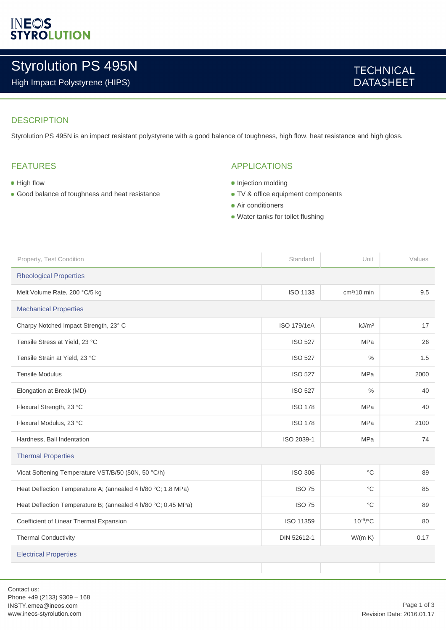# **INEOS**<br>STYROLUTION

# Styrolution PS 495N

High Impact Polystyrene (HIPS)

### **TECHNICAL DATASHEET**

#### **DESCRIPTION**

Styrolution PS 495N is an impact resistant polystyrene with a good balance of toughness, high flow, heat resistance and high gloss.

#### FEATURES

- High flow
- Good balance of toughness and heat resistance

#### APPLICATIONS

- Injection molding
- TV & office equipment components
- **Air conditioners**
- Water tanks for toilet flushing

| Property, Test Condition                                      | Standard        | Unit              | Values |  |
|---------------------------------------------------------------|-----------------|-------------------|--------|--|
| <b>Rheological Properties</b>                                 |                 |                   |        |  |
| Melt Volume Rate, 200 °C/5 kg                                 | <b>ISO 1133</b> | $cm3/10$ min      | 9.5    |  |
| <b>Mechanical Properties</b>                                  |                 |                   |        |  |
| Charpy Notched Impact Strength, 23° C                         | ISO 179/1eA     | kJ/m <sup>2</sup> | 17     |  |
| Tensile Stress at Yield, 23 °C                                | <b>ISO 527</b>  | <b>MPa</b>        | 26     |  |
| Tensile Strain at Yield, 23 °C                                | <b>ISO 527</b>  | $\%$              | 1.5    |  |
| <b>Tensile Modulus</b>                                        | <b>ISO 527</b>  | <b>MPa</b>        | 2000   |  |
| Elongation at Break (MD)                                      | <b>ISO 527</b>  | $\frac{0}{0}$     | 40     |  |
| Flexural Strength, 23 °C                                      | <b>ISO 178</b>  | <b>MPa</b>        | 40     |  |
| Flexural Modulus, 23 °C                                       | <b>ISO 178</b>  | <b>MPa</b>        | 2100   |  |
| Hardness, Ball Indentation                                    | ISO 2039-1      | <b>MPa</b>        | 74     |  |
| <b>Thermal Properties</b>                                     |                 |                   |        |  |
| Vicat Softening Temperature VST/B/50 (50N, 50 °C/h)           | <b>ISO 306</b>  | $^{\circ}C$       | 89     |  |
| Heat Deflection Temperature A; (annealed 4 h/80 °C; 1.8 MPa)  | <b>ISO 75</b>   | $^{\circ}C$       | 85     |  |
| Heat Deflection Temperature B; (annealed 4 h/80 °C; 0.45 MPa) | <b>ISO 75</b>   | $^{\circ}C$       | 89     |  |
| Coefficient of Linear Thermal Expansion                       | ISO 11359       | $10^{-6}$ /°C     | 80     |  |
| <b>Thermal Conductivity</b>                                   | DIN 52612-1     | W/(m K)           | 0.17   |  |
| <b>Electrical Properties</b>                                  |                 |                   |        |  |
|                                                               |                 |                   |        |  |

Contact us: Phone +49 (2133) 9309 – 168 INSTY.emea@ineos.com www.ineos-styrolution.com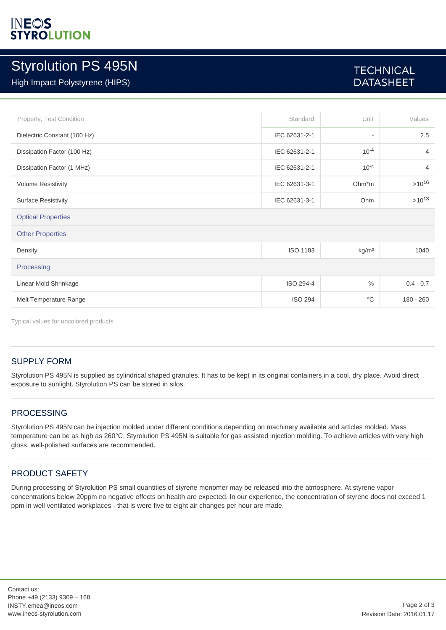## INEOS **YROLUTION**

# Styrolution PS 495N

#### High Impact Polystyrene (HIPS)

## **TECHNICAL DATASHEET**

| Property, Test Condition     | Standard        | Unit                     | Values         |  |
|------------------------------|-----------------|--------------------------|----------------|--|
| Dielectric Constant (100 Hz) | IEC 62631-2-1   | $\overline{\phantom{a}}$ | 2.5            |  |
| Dissipation Factor (100 Hz)  | IEC 62631-2-1   | $10^{-4}$                | $\overline{4}$ |  |
| Dissipation Factor (1 MHz)   | IEC 62631-2-1   | $10^{-4}$                | $\overline{4}$ |  |
| <b>Volume Resistivity</b>    | IEC 62631-3-1   | $Ohm*m$                  | $>10^{16}$     |  |
| <b>Surface Resistivity</b>   | IEC 62631-3-1   | Ohm                      | $>10^{13}$     |  |
| <b>Optical Properties</b>    |                 |                          |                |  |
| <b>Other Properties</b>      |                 |                          |                |  |
| Density                      | <b>ISO 1183</b> | kg/m <sup>3</sup>        | 1040           |  |
| Processing                   |                 |                          |                |  |
| Linear Mold Shrinkage        | ISO 294-4       | $\frac{0}{0}$            | $0.4 - 0.7$    |  |
| Melt Temperature Range       | <b>ISO 294</b>  | $^{\circ}C$              | $180 - 260$    |  |

Typical values for uncolored products

#### SUPPLY FORM

Styrolution PS 495N is supplied as cylindrical shaped granules. It has to be kept in its original containers in a cool, dry place. Avoid direct exposure to sunlight. Styrolution PS can be stored in silos.

#### PROCESSING

Styrolution PS 495N can be injection molded under different conditions depending on machinery available and articles molded. Mass temperature can be as high as 260°C. Styrolution PS 495N is suitable for gas assisted injection molding. To achieve articles with very high gloss, well-polished surfaces are recommended.

#### PRODUCT SAFETY

During processing of Styrolution PS small quantities of styrene monomer may be released into the atmosphere. At styrene vapor concentrations below 20ppm no negative effects on health are expected. In our experience, the concentration of styrene does not exceed 1 ppm in well ventilated workplaces - that is were five to eight air changes per hour are made.